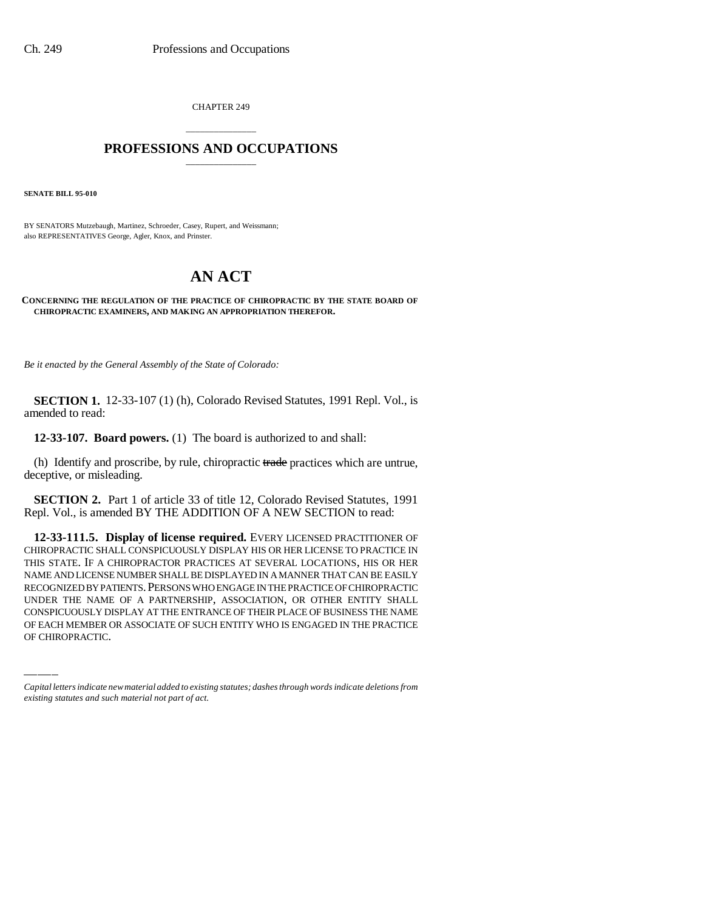CHAPTER 249

# \_\_\_\_\_\_\_\_\_\_\_\_\_\_\_ **PROFESSIONS AND OCCUPATIONS** \_\_\_\_\_\_\_\_\_\_\_\_\_\_\_

**SENATE BILL 95-010**

BY SENATORS Mutzebaugh, Martinez, Schroeder, Casey, Rupert, and Weissmann; also REPRESENTATIVES George, Agler, Knox, and Prinster.

# **AN ACT**

**CONCERNING THE REGULATION OF THE PRACTICE OF CHIROPRACTIC BY THE STATE BOARD OF CHIROPRACTIC EXAMINERS, AND MAKING AN APPROPRIATION THEREFOR.**

*Be it enacted by the General Assembly of the State of Colorado:*

**SECTION 1.** 12-33-107 (1) (h), Colorado Revised Statutes, 1991 Repl. Vol., is amended to read:

**12-33-107. Board powers.** (1) The board is authorized to and shall:

(h) Identify and proscribe, by rule, chiropractic trade practices which are untrue, deceptive, or misleading.

**SECTION 2.** Part 1 of article 33 of title 12, Colorado Revised Statutes, 1991 Repl. Vol., is amended BY THE ADDITION OF A NEW SECTION to read:

RECOGNIZED BY PATIENTS.PERSONS WHO ENGAGE IN THE PRACTICE OF CHIROPRACTIC **12-33-111.5. Display of license required.** EVERY LICENSED PRACTITIONER OF CHIROPRACTIC SHALL CONSPICUOUSLY DISPLAY HIS OR HER LICENSE TO PRACTICE IN THIS STATE. IF A CHIROPRACTOR PRACTICES AT SEVERAL LOCATIONS, HIS OR HER NAME AND LICENSE NUMBER SHALL BE DISPLAYED IN A MANNER THAT CAN BE EASILY UNDER THE NAME OF A PARTNERSHIP, ASSOCIATION, OR OTHER ENTITY SHALL CONSPICUOUSLY DISPLAY AT THE ENTRANCE OF THEIR PLACE OF BUSINESS THE NAME OF EACH MEMBER OR ASSOCIATE OF SUCH ENTITY WHO IS ENGAGED IN THE PRACTICE OF CHIROPRACTIC.

*Capital letters indicate new material added to existing statutes; dashes through words indicate deletions from existing statutes and such material not part of act.*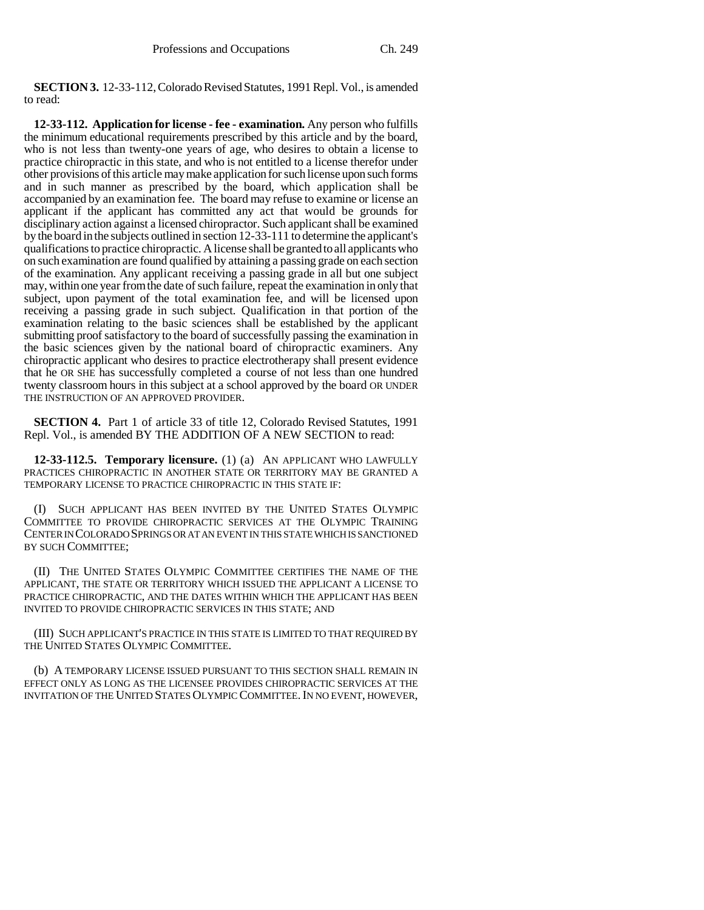**SECTION 3.** 12-33-112, Colorado Revised Statutes, 1991 Repl. Vol., is amended to read:

**12-33-112. Application for license - fee - examination.** Any person who fulfills the minimum educational requirements prescribed by this article and by the board, who is not less than twenty-one years of age, who desires to obtain a license to practice chiropractic in this state, and who is not entitled to a license therefor under other provisions of this article may make application for such license upon such forms and in such manner as prescribed by the board, which application shall be accompanied by an examination fee. The board may refuse to examine or license an applicant if the applicant has committed any act that would be grounds for disciplinary action against a licensed chiropractor. Such applicant shall be examined by the board in the subjects outlined in section 12-33-111 to determine the applicant's qualifications to practice chiropractic. A license shall be granted to all applicants who on such examination are found qualified by attaining a passing grade on each section of the examination. Any applicant receiving a passing grade in all but one subject may, within one year from the date of such failure, repeat the examination in only that subject, upon payment of the total examination fee, and will be licensed upon receiving a passing grade in such subject. Qualification in that portion of the examination relating to the basic sciences shall be established by the applicant submitting proof satisfactory to the board of successfully passing the examination in the basic sciences given by the national board of chiropractic examiners. Any chiropractic applicant who desires to practice electrotherapy shall present evidence that he OR SHE has successfully completed a course of not less than one hundred twenty classroom hours in this subject at a school approved by the board OR UNDER THE INSTRUCTION OF AN APPROVED PROVIDER.

**SECTION 4.** Part 1 of article 33 of title 12, Colorado Revised Statutes, 1991 Repl. Vol., is amended BY THE ADDITION OF A NEW SECTION to read:

**12-33-112.5. Temporary licensure.** (1) (a) AN APPLICANT WHO LAWFULLY PRACTICES CHIROPRACTIC IN ANOTHER STATE OR TERRITORY MAY BE GRANTED A TEMPORARY LICENSE TO PRACTICE CHIROPRACTIC IN THIS STATE IF:

(I) SUCH APPLICANT HAS BEEN INVITED BY THE UNITED STATES OLYMPIC COMMITTEE TO PROVIDE CHIROPRACTIC SERVICES AT THE OLYMPIC TRAINING CENTER IN COLORADO SPRINGS OR AT AN EVENT IN THIS STATE WHICH IS SANCTIONED BY SUCH COMMITTEE;

(II) THE UNITED STATES OLYMPIC COMMITTEE CERTIFIES THE NAME OF THE APPLICANT, THE STATE OR TERRITORY WHICH ISSUED THE APPLICANT A LICENSE TO PRACTICE CHIROPRACTIC, AND THE DATES WITHIN WHICH THE APPLICANT HAS BEEN INVITED TO PROVIDE CHIROPRACTIC SERVICES IN THIS STATE; AND

(III) SUCH APPLICANT'S PRACTICE IN THIS STATE IS LIMITED TO THAT REQUIRED BY THE UNITED STATES OLYMPIC COMMITTEE.

(b) A TEMPORARY LICENSE ISSUED PURSUANT TO THIS SECTION SHALL REMAIN IN EFFECT ONLY AS LONG AS THE LICENSEE PROVIDES CHIROPRACTIC SERVICES AT THE INVITATION OF THE UNITED STATES OLYMPIC COMMITTEE. IN NO EVENT, HOWEVER,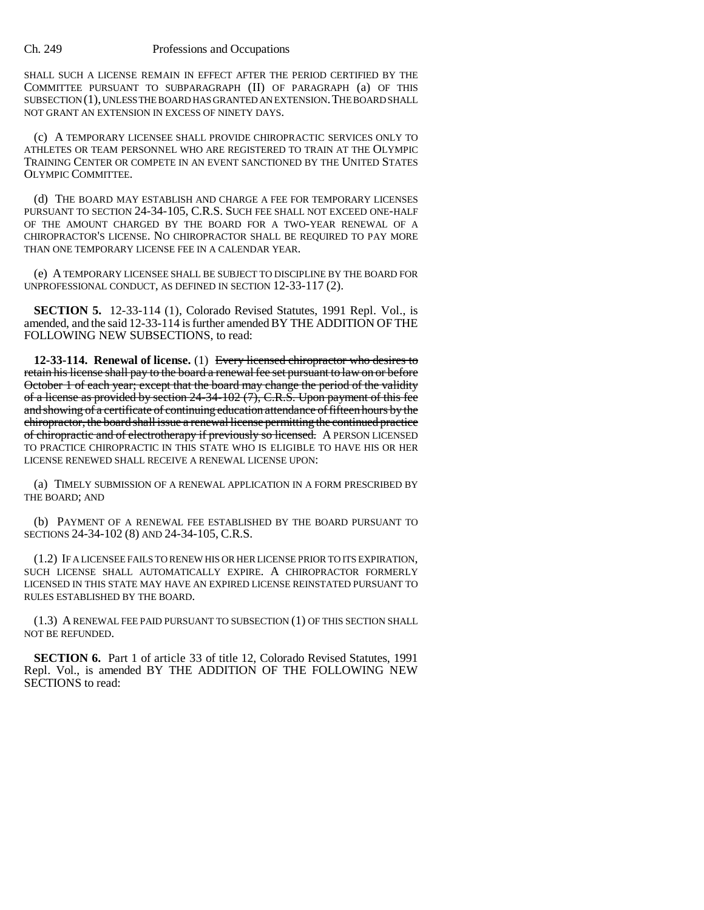SHALL SUCH A LICENSE REMAIN IN EFFECT AFTER THE PERIOD CERTIFIED BY THE COMMITTEE PURSUANT TO SUBPARAGRAPH (II) OF PARAGRAPH (a) OF THIS SUBSECTION (1), UNLESS THE BOARD HAS GRANTED AN EXTENSION.THE BOARD SHALL NOT GRANT AN EXTENSION IN EXCESS OF NINETY DAYS.

(c) A TEMPORARY LICENSEE SHALL PROVIDE CHIROPRACTIC SERVICES ONLY TO ATHLETES OR TEAM PERSONNEL WHO ARE REGISTERED TO TRAIN AT THE OLYMPIC TRAINING CENTER OR COMPETE IN AN EVENT SANCTIONED BY THE UNITED STATES OLYMPIC COMMITTEE.

(d) THE BOARD MAY ESTABLISH AND CHARGE A FEE FOR TEMPORARY LICENSES PURSUANT TO SECTION 24-34-105, C.R.S. SUCH FEE SHALL NOT EXCEED ONE-HALF OF THE AMOUNT CHARGED BY THE BOARD FOR A TWO-YEAR RENEWAL OF A CHIROPRACTOR'S LICENSE. NO CHIROPRACTOR SHALL BE REQUIRED TO PAY MORE THAN ONE TEMPORARY LICENSE FEE IN A CALENDAR YEAR.

(e) A TEMPORARY LICENSEE SHALL BE SUBJECT TO DISCIPLINE BY THE BOARD FOR UNPROFESSIONAL CONDUCT, AS DEFINED IN SECTION 12-33-117 (2).

**SECTION 5.** 12-33-114 (1), Colorado Revised Statutes, 1991 Repl. Vol., is amended, and the said 12-33-114 is further amended BY THE ADDITION OF THE FOLLOWING NEW SUBSECTIONS, to read:

**12-33-114. Renewal of license.** (1) Every licensed chiropractor who desires to retain his license shall pay to the board a renewal fee set pursuant to law on or before October 1 of each year; except that the board may change the period of the validity of a license as provided by section 24-34-102 (7), C.R.S. Upon payment of this fee and showing of a certificate of continuing education attendance of fifteen hours by the chiropractor, the board shall issue a renewal license permitting the continued practice of chiropractic and of electrotherapy if previously so licensed. A PERSON LICENSED TO PRACTICE CHIROPRACTIC IN THIS STATE WHO IS ELIGIBLE TO HAVE HIS OR HER LICENSE RENEWED SHALL RECEIVE A RENEWAL LICENSE UPON:

(a) TIMELY SUBMISSION OF A RENEWAL APPLICATION IN A FORM PRESCRIBED BY THE BOARD; AND

(b) PAYMENT OF A RENEWAL FEE ESTABLISHED BY THE BOARD PURSUANT TO SECTIONS 24-34-102 (8) AND 24-34-105, C.R.S.

(1.2) IF A LICENSEE FAILS TO RENEW HIS OR HER LICENSE PRIOR TO ITS EXPIRATION, SUCH LICENSE SHALL AUTOMATICALLY EXPIRE. A CHIROPRACTOR FORMERLY LICENSED IN THIS STATE MAY HAVE AN EXPIRED LICENSE REINSTATED PURSUANT TO RULES ESTABLISHED BY THE BOARD.

(1.3) A RENEWAL FEE PAID PURSUANT TO SUBSECTION (1) OF THIS SECTION SHALL NOT BE REFUNDED.

**SECTION 6.** Part 1 of article 33 of title 12, Colorado Revised Statutes, 1991 Repl. Vol., is amended BY THE ADDITION OF THE FOLLOWING NEW SECTIONS to read: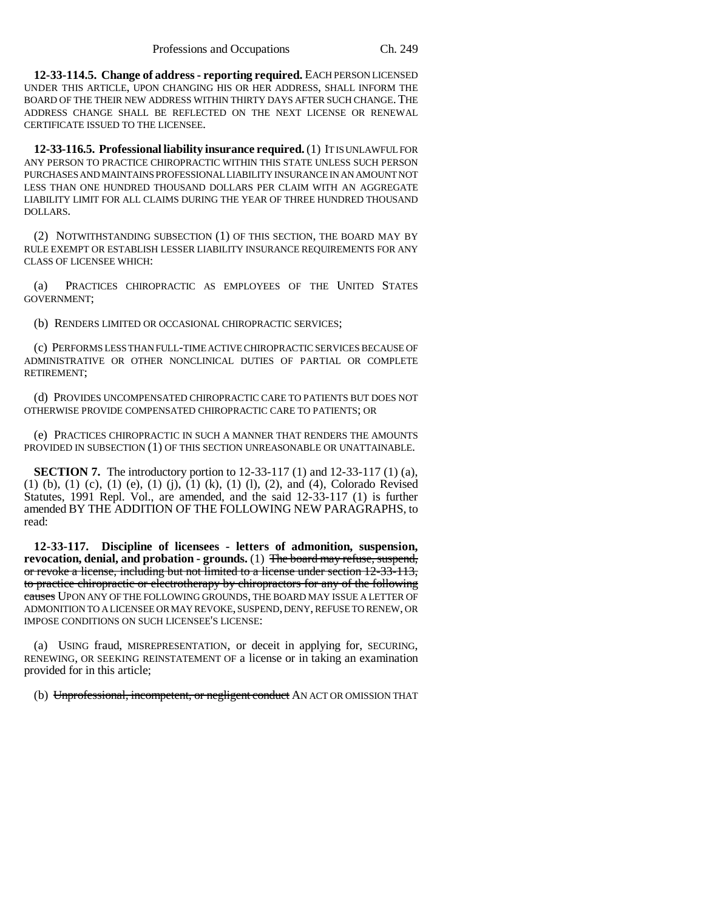**12-33-114.5. Change of address - reporting required.** EACH PERSON LICENSED UNDER THIS ARTICLE, UPON CHANGING HIS OR HER ADDRESS, SHALL INFORM THE BOARD OF THE THEIR NEW ADDRESS WITHIN THIRTY DAYS AFTER SUCH CHANGE. THE ADDRESS CHANGE SHALL BE REFLECTED ON THE NEXT LICENSE OR RENEWAL CERTIFICATE ISSUED TO THE LICENSEE.

**12-33-116.5. Professional liability insurance required.** (1) IT IS UNLAWFUL FOR ANY PERSON TO PRACTICE CHIROPRACTIC WITHIN THIS STATE UNLESS SUCH PERSON PURCHASES AND MAINTAINS PROFESSIONAL LIABILITY INSURANCE IN AN AMOUNT NOT LESS THAN ONE HUNDRED THOUSAND DOLLARS PER CLAIM WITH AN AGGREGATE LIABILITY LIMIT FOR ALL CLAIMS DURING THE YEAR OF THREE HUNDRED THOUSAND DOLLARS.

(2) NOTWITHSTANDING SUBSECTION (1) OF THIS SECTION, THE BOARD MAY BY RULE EXEMPT OR ESTABLISH LESSER LIABILITY INSURANCE REQUIREMENTS FOR ANY CLASS OF LICENSEE WHICH:

(a) PRACTICES CHIROPRACTIC AS EMPLOYEES OF THE UNITED STATES GOVERNMENT;

(b) RENDERS LIMITED OR OCCASIONAL CHIROPRACTIC SERVICES;

(c) PERFORMS LESS THAN FULL-TIME ACTIVE CHIROPRACTIC SERVICES BECAUSE OF ADMINISTRATIVE OR OTHER NONCLINICAL DUTIES OF PARTIAL OR COMPLETE RETIREMENT;

(d) PROVIDES UNCOMPENSATED CHIROPRACTIC CARE TO PATIENTS BUT DOES NOT OTHERWISE PROVIDE COMPENSATED CHIROPRACTIC CARE TO PATIENTS; OR

(e) PRACTICES CHIROPRACTIC IN SUCH A MANNER THAT RENDERS THE AMOUNTS PROVIDED IN SUBSECTION (1) OF THIS SECTION UNREASONABLE OR UNATTAINABLE.

**SECTION 7.** The introductory portion to 12-33-117 (1) and 12-33-117 (1) (a),  $(1)$  (b),  $(1)$  (c),  $(1)$  (e),  $(1)$  (j),  $(1)$  (k),  $(1)$  (l),  $(2)$ , and  $(4)$ , Colorado Revised Statutes, 1991 Repl. Vol., are amended, and the said 12-33-117 (1) is further amended BY THE ADDITION OF THE FOLLOWING NEW PARAGRAPHS, to read:

**12-33-117. Discipline of licensees - letters of admonition, suspension, revocation, denial, and probation - grounds.** (1) The board may refuse, suspend, or revoke a license, including but not limited to a license under section 12-33-113, to practice chiropractic or electrotherapy by chiropractors for any of the following causes UPON ANY OF THE FOLLOWING GROUNDS, THE BOARD MAY ISSUE A LETTER OF ADMONITION TO A LICENSEE OR MAY REVOKE, SUSPEND, DENY, REFUSE TO RENEW, OR IMPOSE CONDITIONS ON SUCH LICENSEE'S LICENSE:

(a) USING fraud, MISREPRESENTATION, or deceit in applying for, SECURING, RENEWING, OR SEEKING REINSTATEMENT OF a license or in taking an examination provided for in this article;

(b) Unprofessional, incompetent, or negligent conduct AN ACT OR OMISSION THAT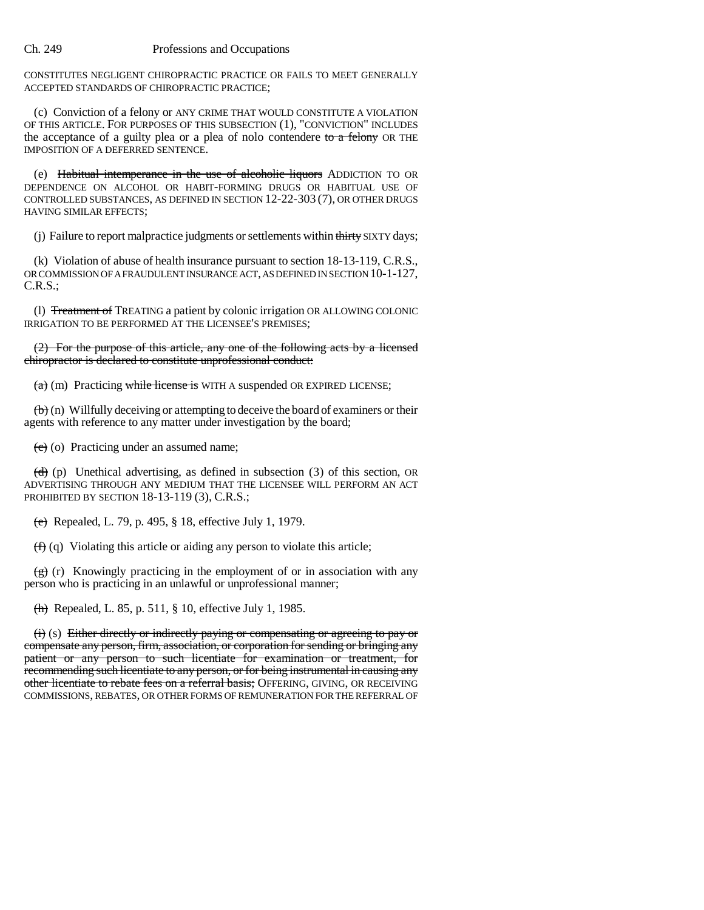CONSTITUTES NEGLIGENT CHIROPRACTIC PRACTICE OR FAILS TO MEET GENERALLY ACCEPTED STANDARDS OF CHIROPRACTIC PRACTICE;

(c) Conviction of a felony or ANY CRIME THAT WOULD CONSTITUTE A VIOLATION OF THIS ARTICLE. FOR PURPOSES OF THIS SUBSECTION (1), "CONVICTION" INCLUDES the acceptance of a guilty plea or a plea of nolo contendere to  $\alpha$  felony OR THE IMPOSITION OF A DEFERRED SENTENCE.

(e) Habitual intemperance in the use of alcoholic liquors ADDICTION TO OR DEPENDENCE ON ALCOHOL OR HABIT-FORMING DRUGS OR HABITUAL USE OF CONTROLLED SUBSTANCES, AS DEFINED IN SECTION 12-22-303 (7), OR OTHER DRUGS HAVING SIMILAR EFFECTS;

(i) Failure to report malpractice judgments or settlements within thirty SIXTY days;

(k) Violation of abuse of health insurance pursuant to section 18-13-119, C.R.S., OR COMMISSION OF A FRAUDULENT INSURANCE ACT, AS DEFINED IN SECTION 10-1-127, C.R.S.;

(l) Treatment of TREATING a patient by colonic irrigation OR ALLOWING COLONIC IRRIGATION TO BE PERFORMED AT THE LICENSEE'S PREMISES;

(2) For the purpose of this article, any one of the following acts by a licensed chiropractor is declared to constitute unprofessional conduct:

 $(a)$  (m) Practicing while license is WITH A suspended OR EXPIRED LICENSE;

 $\left(\mathbf{b}\right)$  (n) Willfully deceiving or attempting to deceive the board of examiners or their agents with reference to any matter under investigation by the board;

 $(e)$  (o) Practicing under an assumed name;

 $(d)$  (p) Unethical advertising, as defined in subsection (3) of this section, OR ADVERTISING THROUGH ANY MEDIUM THAT THE LICENSEE WILL PERFORM AN ACT PROHIBITED BY SECTION 18-13-119 (3), C.R.S.;

(e) Repealed, L. 79, p. 495,  $\S$  18, effective July 1, 1979.

 $(f)$  (q) Violating this article or aiding any person to violate this article;

 $\left(\frac{g}{g}\right)$  (r) Knowingly practicing in the employment of or in association with any person who is practicing in an unlawful or unprofessional manner;

(h) Repealed, L. 85, p. 511, § 10, effective July 1, 1985.

 $(i)$  (s) Either directly or indirectly paying or compensating or agreeing to pay or compensate any person, firm, association, or corporation for sending or bringing any patient or any person to such licentiate for examination or treatment, for recommending such licentiate to any person, or for being instrumental in causing any other licentiate to rebate fees on a referral basis; OFFERING, GIVING, OR RECEIVING COMMISSIONS, REBATES, OR OTHER FORMS OF REMUNERATION FOR THE REFERRAL OF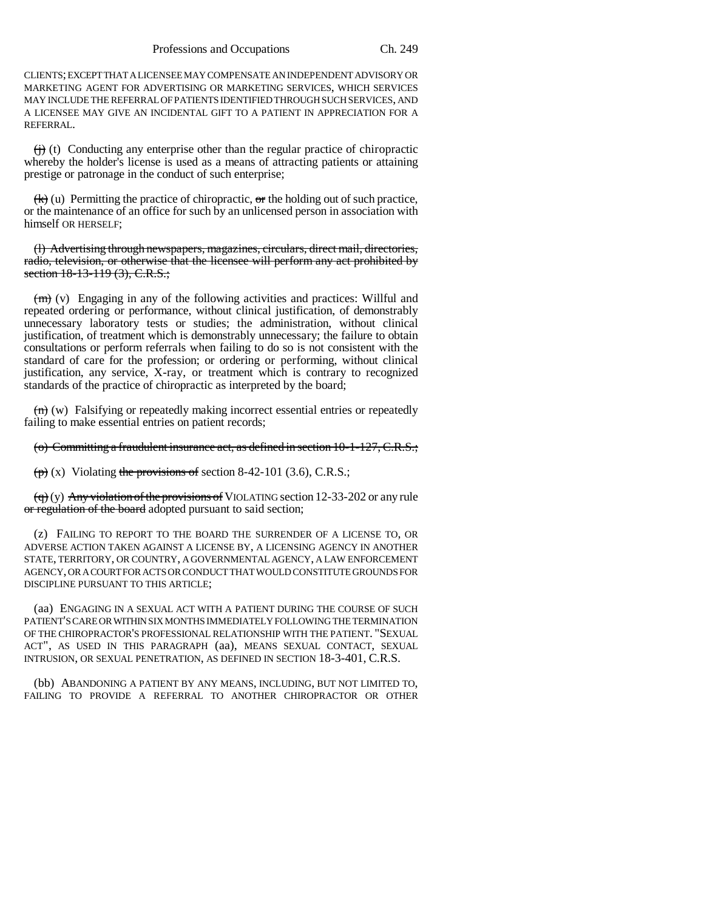CLIENTS; EXCEPT THAT A LICENSEE MAY COMPENSATE AN INDEPENDENT ADVISORY OR MARKETING AGENT FOR ADVERTISING OR MARKETING SERVICES, WHICH SERVICES MAY INCLUDE THE REFERRAL OF PATIENTS IDENTIFIED THROUGH SUCH SERVICES, AND A LICENSEE MAY GIVE AN INCIDENTAL GIFT TO A PATIENT IN APPRECIATION FOR A REFERRAL.

 $\leftrightarrow$  (t) Conducting any enterprise other than the regular practice of chiropractic whereby the holder's license is used as a means of attracting patients or attaining prestige or patronage in the conduct of such enterprise;

 $(k)$  (u) Permitting the practice of chiropractic, or the holding out of such practice, or the maintenance of an office for such by an unlicensed person in association with himself OR HERSELF;

(l) Advertising through newspapers, magazines, circulars, direct mail, directories, radio, television, or otherwise that the licensee will perform any act prohibited by section 18-13-119 (3), C.R.S.;

 $(m)$  (v) Engaging in any of the following activities and practices: Willful and repeated ordering or performance, without clinical justification, of demonstrably unnecessary laboratory tests or studies; the administration, without clinical justification, of treatment which is demonstrably unnecessary; the failure to obtain consultations or perform referrals when failing to do so is not consistent with the standard of care for the profession; or ordering or performing, without clinical justification, any service, X-ray, or treatment which is contrary to recognized standards of the practice of chiropractic as interpreted by the board;

 $(n)$  (w) Falsifying or repeatedly making incorrect essential entries or repeatedly failing to make essential entries on patient records;

(o) Committing a fraudulent insurance act, as defined in section 10-1-127, C.R.S.;

 $(p)$  (x) Violating the provisions of section 8-42-101 (3.6), C.R.S.;

 $(q)$  (y) Any violation of the provisions of VIOLATING section 12-33-202 or any rule or regulation of the board adopted pursuant to said section;

(z) FAILING TO REPORT TO THE BOARD THE SURRENDER OF A LICENSE TO, OR ADVERSE ACTION TAKEN AGAINST A LICENSE BY, A LICENSING AGENCY IN ANOTHER STATE, TERRITORY, OR COUNTRY, A GOVERNMENTAL AGENCY, A LAW ENFORCEMENT AGENCY, OR A COURT FOR ACTS OR CONDUCT THAT WOULD CONSTITUTE GROUNDS FOR DISCIPLINE PURSUANT TO THIS ARTICLE;

(aa) ENGAGING IN A SEXUAL ACT WITH A PATIENT DURING THE COURSE OF SUCH PATIENT'S CARE OR WITHIN SIX MONTHS IMMEDIATELY FOLLOWING THE TERMINATION OF THE CHIROPRACTOR'S PROFESSIONAL RELATIONSHIP WITH THE PATIENT. "SEXUAL ACT", AS USED IN THIS PARAGRAPH (aa), MEANS SEXUAL CONTACT, SEXUAL INTRUSION, OR SEXUAL PENETRATION, AS DEFINED IN SECTION 18-3-401, C.R.S.

(bb) ABANDONING A PATIENT BY ANY MEANS, INCLUDING, BUT NOT LIMITED TO, FAILING TO PROVIDE A REFERRAL TO ANOTHER CHIROPRACTOR OR OTHER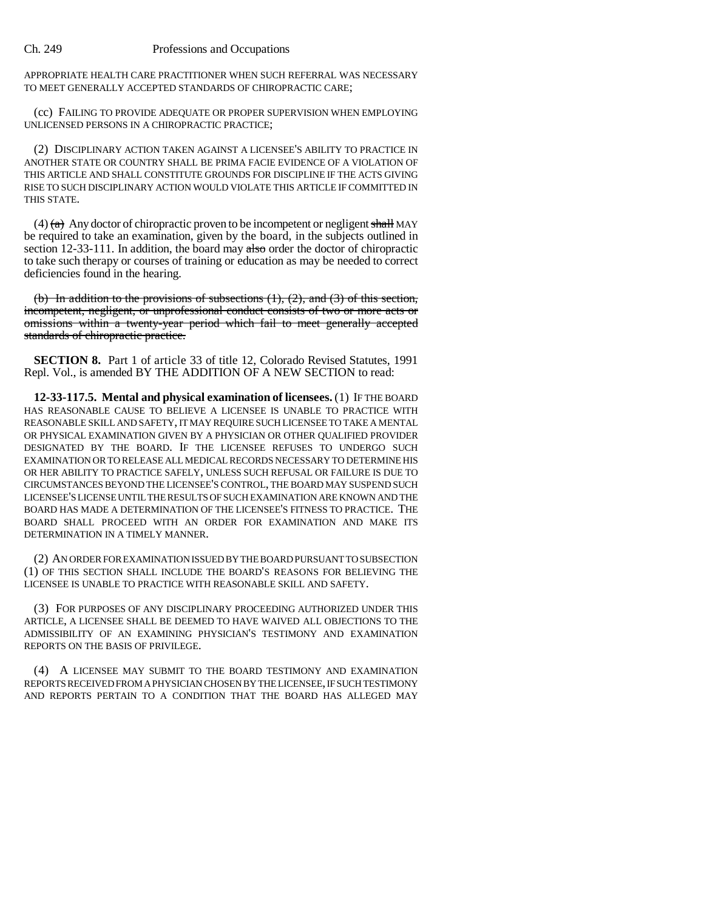APPROPRIATE HEALTH CARE PRACTITIONER WHEN SUCH REFERRAL WAS NECESSARY TO MEET GENERALLY ACCEPTED STANDARDS OF CHIROPRACTIC CARE;

(cc) FAILING TO PROVIDE ADEQUATE OR PROPER SUPERVISION WHEN EMPLOYING UNLICENSED PERSONS IN A CHIROPRACTIC PRACTICE;

(2) DISCIPLINARY ACTION TAKEN AGAINST A LICENSEE'S ABILITY TO PRACTICE IN ANOTHER STATE OR COUNTRY SHALL BE PRIMA FACIE EVIDENCE OF A VIOLATION OF THIS ARTICLE AND SHALL CONSTITUTE GROUNDS FOR DISCIPLINE IF THE ACTS GIVING RISE TO SUCH DISCIPLINARY ACTION WOULD VIOLATE THIS ARTICLE IF COMMITTED IN THIS STATE.

(4)  $\left(\frac{A}{A}\right)$  Any doctor of chiropractic proven to be incompetent or negligent shall MAY be required to take an examination, given by the board, in the subjects outlined in section  $12-33-111$ . In addition, the board may also order the doctor of chiropractic to take such therapy or courses of training or education as may be needed to correct deficiencies found in the hearing.

(b) In addition to the provisions of subsections  $(1)$ ,  $(2)$ , and  $(3)$  of this section, incompetent, negligent, or unprofessional conduct consists of two or more acts or omissions within a twenty-year period which fail to meet generally accepted standards of chiropractic practice.

**SECTION 8.** Part 1 of article 33 of title 12, Colorado Revised Statutes, 1991 Repl. Vol., is amended BY THE ADDITION OF A NEW SECTION to read:

**12-33-117.5. Mental and physical examination of licensees.** (1) IF THE BOARD HAS REASONABLE CAUSE TO BELIEVE A LICENSEE IS UNABLE TO PRACTICE WITH REASONABLE SKILL AND SAFETY, IT MAY REQUIRE SUCH LICENSEE TO TAKE A MENTAL OR PHYSICAL EXAMINATION GIVEN BY A PHYSICIAN OR OTHER QUALIFIED PROVIDER DESIGNATED BY THE BOARD. IF THE LICENSEE REFUSES TO UNDERGO SUCH EXAMINATION OR TO RELEASE ALL MEDICAL RECORDS NECESSARY TO DETERMINE HIS OR HER ABILITY TO PRACTICE SAFELY, UNLESS SUCH REFUSAL OR FAILURE IS DUE TO CIRCUMSTANCES BEYOND THE LICENSEE'S CONTROL, THE BOARD MAY SUSPEND SUCH LICENSEE'S LICENSE UNTIL THE RESULTS OF SUCH EXAMINATION ARE KNOWN AND THE BOARD HAS MADE A DETERMINATION OF THE LICENSEE'S FITNESS TO PRACTICE. THE BOARD SHALL PROCEED WITH AN ORDER FOR EXAMINATION AND MAKE ITS DETERMINATION IN A TIMELY MANNER.

(2) AN ORDER FOR EXAMINATION ISSUED BY THE BOARD PURSUANT TO SUBSECTION (1) OF THIS SECTION SHALL INCLUDE THE BOARD'S REASONS FOR BELIEVING THE LICENSEE IS UNABLE TO PRACTICE WITH REASONABLE SKILL AND SAFETY.

(3) FOR PURPOSES OF ANY DISCIPLINARY PROCEEDING AUTHORIZED UNDER THIS ARTICLE, A LICENSEE SHALL BE DEEMED TO HAVE WAIVED ALL OBJECTIONS TO THE ADMISSIBILITY OF AN EXAMINING PHYSICIAN'S TESTIMONY AND EXAMINATION REPORTS ON THE BASIS OF PRIVILEGE.

(4) A LICENSEE MAY SUBMIT TO THE BOARD TESTIMONY AND EXAMINATION REPORTS RECEIVED FROM A PHYSICIAN CHOSEN BY THE LICENSEE, IF SUCH TESTIMONY AND REPORTS PERTAIN TO A CONDITION THAT THE BOARD HAS ALLEGED MAY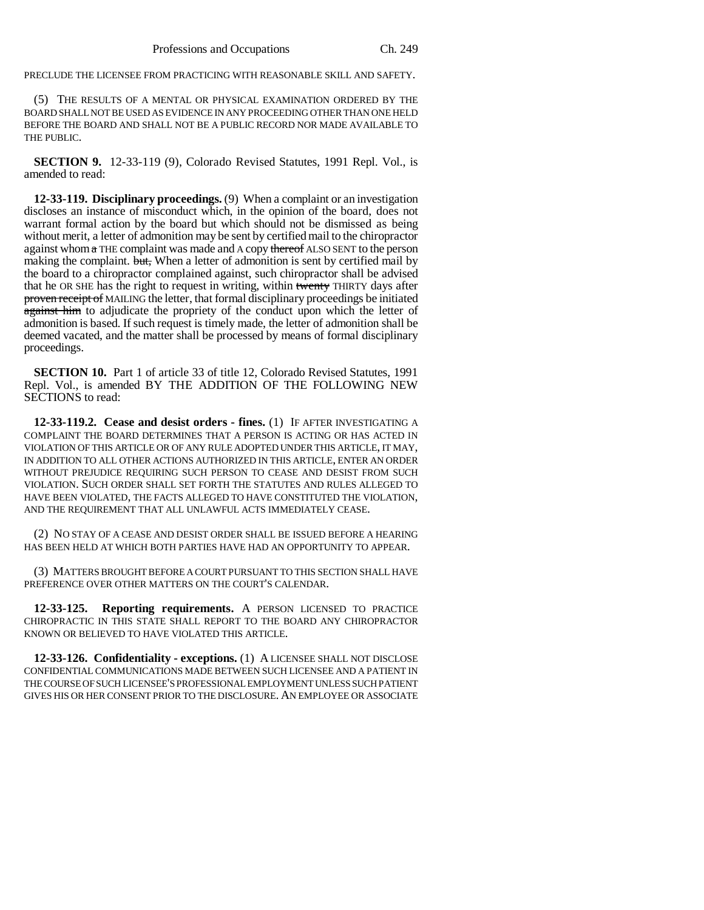PRECLUDE THE LICENSEE FROM PRACTICING WITH REASONABLE SKILL AND SAFETY.

(5) THE RESULTS OF A MENTAL OR PHYSICAL EXAMINATION ORDERED BY THE BOARD SHALL NOT BE USED AS EVIDENCE IN ANY PROCEEDING OTHER THAN ONE HELD BEFORE THE BOARD AND SHALL NOT BE A PUBLIC RECORD NOR MADE AVAILABLE TO THE PUBLIC.

**SECTION 9.** 12-33-119 (9), Colorado Revised Statutes, 1991 Repl. Vol., is amended to read:

**12-33-119. Disciplinary proceedings.** (9) When a complaint or an investigation discloses an instance of misconduct which, in the opinion of the board, does not warrant formal action by the board but which should not be dismissed as being without merit, a letter of admonition may be sent by certified mail to the chiropractor against whom  $\alpha$  THE complaint was made and A copy thereof ALSO SENT to the person making the complaint. but, When a letter of admonition is sent by certified mail by the board to a chiropractor complained against, such chiropractor shall be advised that he OR SHE has the right to request in writing, within twenty THIRTY days after proven receipt of MAILING the letter, that formal disciplinary proceedings be initiated against him to adjudicate the propriety of the conduct upon which the letter of admonition is based. If such request is timely made, the letter of admonition shall be deemed vacated, and the matter shall be processed by means of formal disciplinary proceedings.

**SECTION 10.** Part 1 of article 33 of title 12, Colorado Revised Statutes, 1991 Repl. Vol., is amended BY THE ADDITION OF THE FOLLOWING NEW SECTIONS to read:

**12-33-119.2. Cease and desist orders - fines.** (1) IF AFTER INVESTIGATING A COMPLAINT THE BOARD DETERMINES THAT A PERSON IS ACTING OR HAS ACTED IN VIOLATION OF THIS ARTICLE OR OF ANY RULE ADOPTED UNDER THIS ARTICLE, IT MAY, IN ADDITION TO ALL OTHER ACTIONS AUTHORIZED IN THIS ARTICLE, ENTER AN ORDER WITHOUT PREJUDICE REQUIRING SUCH PERSON TO CEASE AND DESIST FROM SUCH VIOLATION. SUCH ORDER SHALL SET FORTH THE STATUTES AND RULES ALLEGED TO HAVE BEEN VIOLATED, THE FACTS ALLEGED TO HAVE CONSTITUTED THE VIOLATION, AND THE REQUIREMENT THAT ALL UNLAWFUL ACTS IMMEDIATELY CEASE.

(2) NO STAY OF A CEASE AND DESIST ORDER SHALL BE ISSUED BEFORE A HEARING HAS BEEN HELD AT WHICH BOTH PARTIES HAVE HAD AN OPPORTUNITY TO APPEAR.

(3) MATTERS BROUGHT BEFORE A COURT PURSUANT TO THIS SECTION SHALL HAVE PREFERENCE OVER OTHER MATTERS ON THE COURT'S CALENDAR.

**12-33-125. Reporting requirements.** A PERSON LICENSED TO PRACTICE CHIROPRACTIC IN THIS STATE SHALL REPORT TO THE BOARD ANY CHIROPRACTOR KNOWN OR BELIEVED TO HAVE VIOLATED THIS ARTICLE.

**12-33-126. Confidentiality - exceptions.** (1) A LICENSEE SHALL NOT DISCLOSE CONFIDENTIAL COMMUNICATIONS MADE BETWEEN SUCH LICENSEE AND A PATIENT IN THE COURSE OF SUCH LICENSEE'S PROFESSIONAL EMPLOYMENT UNLESS SUCH PATIENT GIVES HIS OR HER CONSENT PRIOR TO THE DISCLOSURE. AN EMPLOYEE OR ASSOCIATE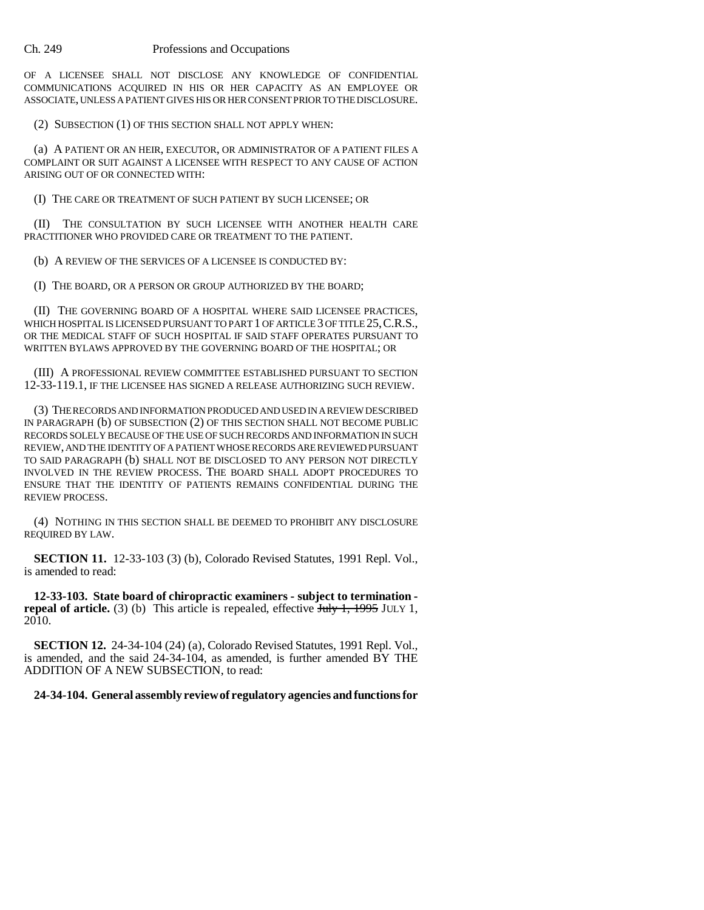OF A LICENSEE SHALL NOT DISCLOSE ANY KNOWLEDGE OF CONFIDENTIAL COMMUNICATIONS ACQUIRED IN HIS OR HER CAPACITY AS AN EMPLOYEE OR ASSOCIATE, UNLESS A PATIENT GIVES HIS OR HER CONSENT PRIOR TO THE DISCLOSURE.

(2) SUBSECTION (1) OF THIS SECTION SHALL NOT APPLY WHEN:

(a) A PATIENT OR AN HEIR, EXECUTOR, OR ADMINISTRATOR OF A PATIENT FILES A COMPLAINT OR SUIT AGAINST A LICENSEE WITH RESPECT TO ANY CAUSE OF ACTION ARISING OUT OF OR CONNECTED WITH:

(I) THE CARE OR TREATMENT OF SUCH PATIENT BY SUCH LICENSEE; OR

(II) THE CONSULTATION BY SUCH LICENSEE WITH ANOTHER HEALTH CARE PRACTITIONER WHO PROVIDED CARE OR TREATMENT TO THE PATIENT.

(b) A REVIEW OF THE SERVICES OF A LICENSEE IS CONDUCTED BY:

(I) THE BOARD, OR A PERSON OR GROUP AUTHORIZED BY THE BOARD;

(II) THE GOVERNING BOARD OF A HOSPITAL WHERE SAID LICENSEE PRACTICES, WHICH HOSPITAL IS LICENSED PURSUANT TO PART 1 OF ARTICLE 3 OF TITLE 25, C.R.S., OR THE MEDICAL STAFF OF SUCH HOSPITAL IF SAID STAFF OPERATES PURSUANT TO WRITTEN BYLAWS APPROVED BY THE GOVERNING BOARD OF THE HOSPITAL; OR

(III) A PROFESSIONAL REVIEW COMMITTEE ESTABLISHED PURSUANT TO SECTION 12-33-119.1, IF THE LICENSEE HAS SIGNED A RELEASE AUTHORIZING SUCH REVIEW.

(3) THE RECORDS AND INFORMATION PRODUCED AND USED IN A REVIEW DESCRIBED IN PARAGRAPH (b) OF SUBSECTION (2) OF THIS SECTION SHALL NOT BECOME PUBLIC RECORDS SOLELY BECAUSE OF THE USE OF SUCH RECORDS AND INFORMATION IN SUCH REVIEW, AND THE IDENTITY OF A PATIENT WHOSE RECORDS ARE REVIEWED PURSUANT TO SAID PARAGRAPH (b) SHALL NOT BE DISCLOSED TO ANY PERSON NOT DIRECTLY INVOLVED IN THE REVIEW PROCESS. THE BOARD SHALL ADOPT PROCEDURES TO ENSURE THAT THE IDENTITY OF PATIENTS REMAINS CONFIDENTIAL DURING THE REVIEW PROCESS.

(4) NOTHING IN THIS SECTION SHALL BE DEEMED TO PROHIBIT ANY DISCLOSURE REQUIRED BY LAW.

**SECTION 11.** 12-33-103 (3) (b), Colorado Revised Statutes, 1991 Repl. Vol., is amended to read:

**12-33-103. State board of chiropractic examiners - subject to termination repeal of article.** (3) (b) This article is repealed, effective  $\frac{\text{July 1, 1995} \text{ JULY 1}}{1, \text{1995}}$ 2010.

**SECTION 12.** 24-34-104 (24) (a), Colorado Revised Statutes, 1991 Repl. Vol., is amended, and the said 24-34-104, as amended, is further amended BY THE ADDITION OF A NEW SUBSECTION, to read:

**24-34-104. General assembly review of regulatory agencies and functions for**